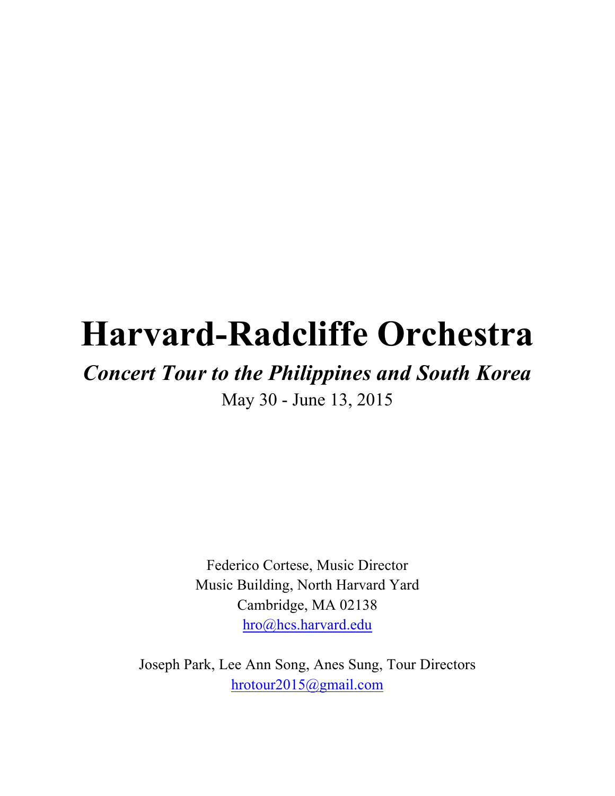# **Harvard-Radcliffe Orchestra**

## *Concert Tour to the Philippines and South Korea*

May 30 - June 13, 2015

Federico Cortese, Music Director Music Building, North Harvard Yard Cambridge, MA 02138 hro@hcs.harvard.edu

Joseph Park, Lee Ann Song, Anes Sung, Tour Directors hrotour2015@gmail.com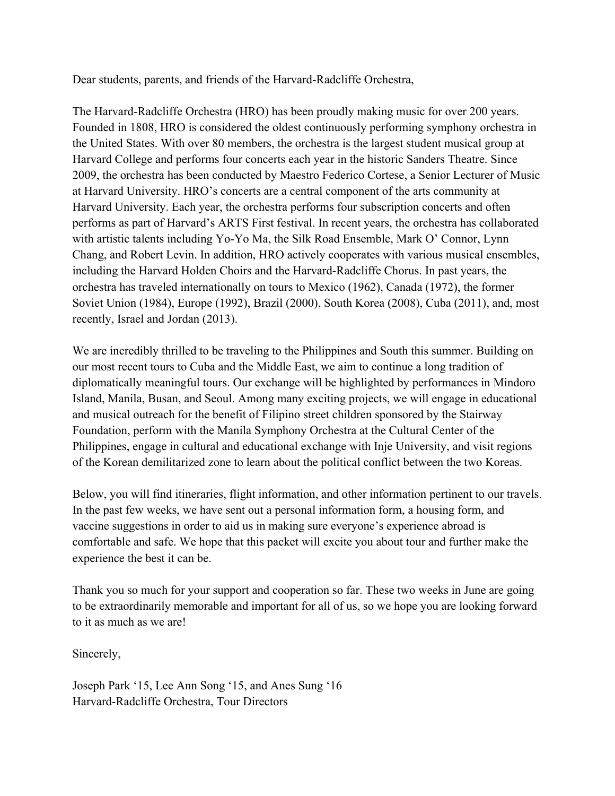Dear students, parents, and friends of the Harvard-Radcliffe Orchestra,

The Harvard-Radcliffe Orchestra (HRO) has been proudly making music for over 200 years. Founded in 1808, HRO is considered the oldest continuously performing symphony orchestra in the United States. With over 80 members, the orchestra is the largest student musical group at Harvard College and performs four concerts each year in the historic Sanders Theatre. Since 2009, the orchestra has been conducted by Maestro Federico Cortese, a Senior Lecturer of Music at Harvard University. HRO's concerts are a central component of the arts community at Harvard University. Each year, the orchestra performs four subscription concerts and often performs as part of Harvard's ARTS First festival. In recent years, the orchestra has collaborated with artistic talents including Yo-Yo Ma, the Silk Road Ensemble, Mark O' Connor, Lynn Chang, and Robert Levin. In addition, HRO actively cooperates with various musical ensembles, including the Harvard Holden Choirs and the Harvard-Radcliffe Chorus. In past years, the orchestra has traveled internationally on tours to Mexico (1962), Canada (1972), the former Soviet Union (1984), Europe (1992), Brazil (2000), South Korea (2008), Cuba (2011), and, most recently, Israel and Jordan (2013).

We are incredibly thrilled to be traveling to the Philippines and South this summer. Building on our most recent tours to Cuba and the Middle East, we aim to continue a long tradition of diplomatically meaningful tours. Our exchange will be highlighted by performances in Mindoro Island, Manila, Busan, and Seoul. Among many exciting projects, we will engage in educational and musical outreach for the benefit of Filipino street children sponsored by the Stairway Foundation, perform with the Manila Symphony Orchestra at the Cultural Center of the Philippines, engage in cultural and educational exchange with Inje University, and visit regions of the Korean demilitarized zone to learn about the political conflict between the two Koreas.

Below, you will find itineraries, flight information, and other information pertinent to our travels. In the past few weeks, we have sent out a personal information form, a housing form, and vaccine suggestions in order to aid us in making sure everyone's experience abroad is comfortable and safe. We hope that this packet will excite you about tour and further make the experience the best it can be.

Thank you so much for your support and cooperation so far. These two weeks in June are going to be extraordinarily memorable and important for all of us, so we hope you are looking forward to it as much as we are!

Sincerely,

Joseph Park '15, Lee Ann Song '15, and Anes Sung '16 Harvard-Radcliffe Orchestra, Tour Directors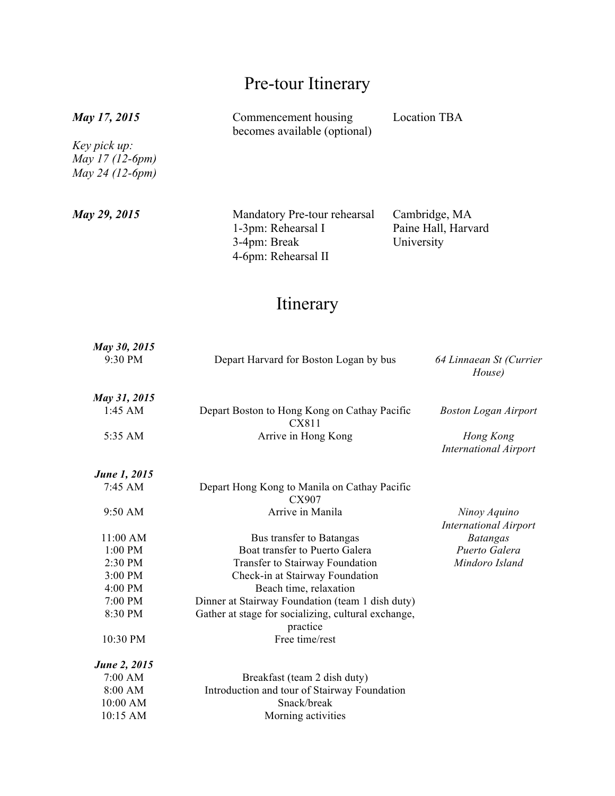## Pre-tour Itinerary

#### *May 17, 2015*

*Key pick up: May 17 (12-6pm) May 24 (12-6pm)*

Commencement housing becomes available (optional) Location TBA

*May 29, 2015* Mandatory Pre-tour rehearsal 1-3pm: Rehearsal I 3-4pm: Break 4-6pm: Rehearsal II

Cambridge, MA Paine Hall, Harvard University

### Itinerary

| May 30, 2015<br>9:30 PM | Depart Harvard for Boston Logan by bus                          | 64 Linnaean St (Currier<br>House)            |  |
|-------------------------|-----------------------------------------------------------------|----------------------------------------------|--|
| May 31, 2015            |                                                                 |                                              |  |
| $1:45$ AM               | Depart Boston to Hong Kong on Cathay Pacific<br>CX811           | <b>Boston Logan Airport</b>                  |  |
| 5:35 AM                 | Arrive in Hong Kong                                             | Hong Kong<br><b>International Airport</b>    |  |
| <b>June 1, 2015</b>     |                                                                 |                                              |  |
| 7:45 AM                 | Depart Hong Kong to Manila on Cathay Pacific<br>CX907           |                                              |  |
| 9:50 AM                 | Arrive in Manila                                                | Ninoy Aquino<br><b>International Airport</b> |  |
| 11:00 AM                | Bus transfer to Batangas                                        | <b>Batangas</b>                              |  |
| 1:00 PM                 | Boat transfer to Puerto Galera                                  | Puerto Galera                                |  |
| 2:30 PM                 | Transfer to Stairway Foundation                                 | Mindoro Island                               |  |
| 3:00 PM                 | Check-in at Stairway Foundation                                 |                                              |  |
| 4:00 PM                 | Beach time, relaxation                                          |                                              |  |
| 7:00 PM                 | Dinner at Stairway Foundation (team 1 dish duty)                |                                              |  |
| 8:30 PM                 | Gather at stage for socializing, cultural exchange,<br>practice |                                              |  |
| 10:30 PM                | Free time/rest                                                  |                                              |  |
| June 2, 2015            |                                                                 |                                              |  |
| 7:00 AM                 | Breakfast (team 2 dish duty)                                    |                                              |  |
| 8:00 AM                 | Introduction and tour of Stairway Foundation                    |                                              |  |
| 10:00 AM                | Snack/break                                                     |                                              |  |
| 10:15 AM                | Morning activities                                              |                                              |  |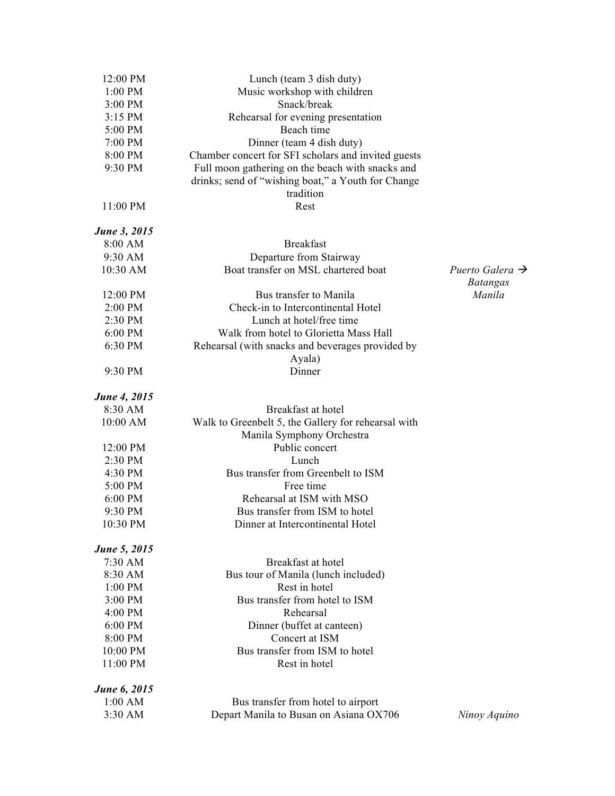| 12:00 PM             | Lunch (team 3 dish duty)                            |                                                |  |  |
|----------------------|-----------------------------------------------------|------------------------------------------------|--|--|
| 1:00 PM              | Music workshop with children                        |                                                |  |  |
| 3:00 PM              | Snack/break                                         |                                                |  |  |
| 3:15 PM              | Rehearsal for evening presentation                  |                                                |  |  |
| 5:00 PM              | Beach time                                          |                                                |  |  |
| 7:00 PM              | Dinner (team 4 dish duty)                           |                                                |  |  |
| 8:00 PM              | Chamber concert for SFI scholars and invited guests |                                                |  |  |
| 9:30 PM              | Full moon gathering on the beach with snacks and    |                                                |  |  |
|                      | drinks; send of "wishing boat," a Youth for Change  |                                                |  |  |
|                      | tradition                                           |                                                |  |  |
| 11:00 PM             | Rest                                                |                                                |  |  |
| <b>June 3, 2015</b>  |                                                     |                                                |  |  |
| 8:00 AM              | <b>Breakfast</b>                                    |                                                |  |  |
| 9:30 AM              | Departure from Stairway                             |                                                |  |  |
| 10:30 AM             | Boat transfer on MSL chartered boat                 | Puerto Galera $\rightarrow$<br><b>Batangas</b> |  |  |
| 12:00 PM             | Bus transfer to Manila                              | Manila                                         |  |  |
| 2:00 PM              | Check-in to Intercontinental Hotel                  |                                                |  |  |
| 2:30 PM              | Lunch at hotel/free time                            |                                                |  |  |
| $6:00$ PM            | Walk from hotel to Glorietta Mass Hall              |                                                |  |  |
| 6:30 PM              | Rehearsal (with snacks and beverages provided by    |                                                |  |  |
|                      | Ayala)                                              |                                                |  |  |
| 9:30 PM              | Dinner                                              |                                                |  |  |
| June 4, 2015         |                                                     |                                                |  |  |
| 8:30 AM              | Breakfast at hotel                                  |                                                |  |  |
| 10:00 AM             | Walk to Greenbelt 5, the Gallery for rehearsal with |                                                |  |  |
|                      | Manila Symphony Orchestra                           |                                                |  |  |
| 12:00 PM             | Public concert                                      |                                                |  |  |
| 2:30 PM              | Lunch                                               |                                                |  |  |
| 4:30 PM              | Bus transfer from Greenbelt to ISM                  |                                                |  |  |
| 5:00 PM              | Free time                                           |                                                |  |  |
| 6:00 PM              | Rehearsal at ISM with MSO                           |                                                |  |  |
| 9:30 PM              | Bus transfer from ISM to hotel                      |                                                |  |  |
| 10:30 PM             | Dinner at Intercontinental Hotel                    |                                                |  |  |
| <b>June 5, 2015</b>  |                                                     |                                                |  |  |
| 7:30 AM              | Breakfast at hotel                                  |                                                |  |  |
| 8:30 AM              | Bus tour of Manila (lunch included)                 |                                                |  |  |
| 1:00 PM              | Rest in hotel                                       |                                                |  |  |
| 3:00 PM              | Bus transfer from hotel to ISM                      |                                                |  |  |
| 4:00 PM              | Rehearsal                                           |                                                |  |  |
| 6:00 PM<br>8:00 PM   | Dinner (buffet at canteen)<br>Concert at ISM        |                                                |  |  |
|                      |                                                     |                                                |  |  |
| 10:00 PM<br>11:00 PM | Bus transfer from ISM to hotel<br>Rest in hotel     |                                                |  |  |
| <b>June 6, 2015</b>  |                                                     |                                                |  |  |
| $1:00$ AM            | Bus transfer from hotel to airport                  |                                                |  |  |
| 3:30 AM              | Depart Manila to Busan on Asiana OX706              | Ninoy Aquino                                   |  |  |
|                      |                                                     |                                                |  |  |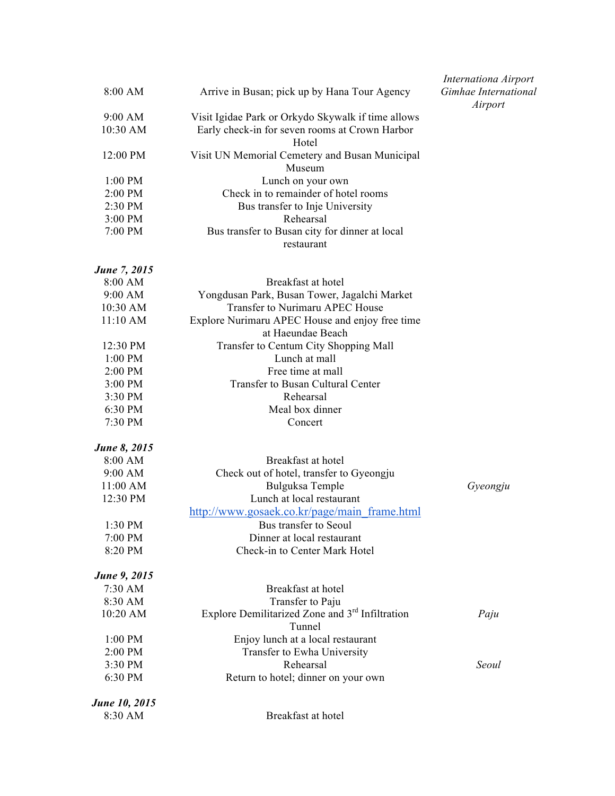| 8:00 AM<br>Arrive in Busan; pick up by Hana Tour Agency |                                                                       | Internationa Airport<br>Gimhae International<br>Airport |
|---------------------------------------------------------|-----------------------------------------------------------------------|---------------------------------------------------------|
| 9:00 AM                                                 | Visit Igidae Park or Orkydo Skywalk if time allows                    |                                                         |
| 10:30 AM                                                | Early check-in for seven rooms at Crown Harbor<br>Hotel               |                                                         |
| 12:00 PM                                                | Visit UN Memorial Cemetery and Busan Municipal<br>Museum              |                                                         |
| 1:00 PM                                                 | Lunch on your own                                                     |                                                         |
| 2:00 PM                                                 | Check in to remainder of hotel rooms                                  |                                                         |
| 2:30 PM                                                 | Bus transfer to Inje University                                       |                                                         |
| 3:00 PM                                                 | Rehearsal                                                             |                                                         |
| 7:00 PM                                                 | Bus transfer to Busan city for dinner at local<br>restaurant          |                                                         |
| June 7, 2015                                            |                                                                       |                                                         |
| 8:00 AM                                                 | Breakfast at hotel                                                    |                                                         |
| 9:00 AM                                                 | Yongdusan Park, Busan Tower, Jagalchi Market                          |                                                         |
| 10:30 AM                                                | Transfer to Nurimaru APEC House                                       |                                                         |
| 11:10 AM                                                | Explore Nurimaru APEC House and enjoy free time<br>at Haeundae Beach  |                                                         |
| 12:30 PM                                                | Transfer to Centum City Shopping Mall                                 |                                                         |
| 1:00 PM                                                 | Lunch at mall                                                         |                                                         |
| 2:00 PM                                                 | Free time at mall                                                     |                                                         |
| 3:00 PM                                                 | Transfer to Busan Cultural Center                                     |                                                         |
| 3:30 PM                                                 | Rehearsal                                                             |                                                         |
| 6:30 PM                                                 | Meal box dinner                                                       |                                                         |
| 7:30 PM                                                 | Concert                                                               |                                                         |
| <b>June 8, 2015</b>                                     |                                                                       |                                                         |
| 8:00 AM                                                 | Breakfast at hotel                                                    |                                                         |
| 9:00 AM                                                 | Check out of hotel, transfer to Gyeongju                              |                                                         |
| 11:00 AM                                                | Bulguksa Temple                                                       | Gyeongju                                                |
| 12:30 PM                                                | Lunch at local restaurant                                             |                                                         |
|                                                         | http://www.gosaek.co.kr/page/main frame.html                          |                                                         |
| 1:30 PM                                                 | Bus transfer to Seoul                                                 |                                                         |
| 7:00 PM                                                 | Dinner at local restaurant                                            |                                                         |
| 8:20 PM                                                 | Check-in to Center Mark Hotel                                         |                                                         |
| June 9, 2015                                            |                                                                       |                                                         |
| 7:30 AM                                                 | Breakfast at hotel                                                    |                                                         |
| 8:30 AM                                                 | Transfer to Paju                                                      |                                                         |
| 10:20 AM                                                | Explore Demilitarized Zone and 3 <sup>rd</sup> Infiltration<br>Tunnel | Paju                                                    |
| 1:00 PM                                                 | Enjoy lunch at a local restaurant                                     |                                                         |
| 2:00 PM                                                 | Transfer to Ewha University                                           |                                                         |
| 3:30 PM                                                 | Rehearsal                                                             | Seoul                                                   |
| 6:30 PM                                                 | Return to hotel; dinner on your own                                   |                                                         |
| June 10, 2015                                           |                                                                       |                                                         |
| 8:30 AM                                                 | Breakfast at hotel                                                    |                                                         |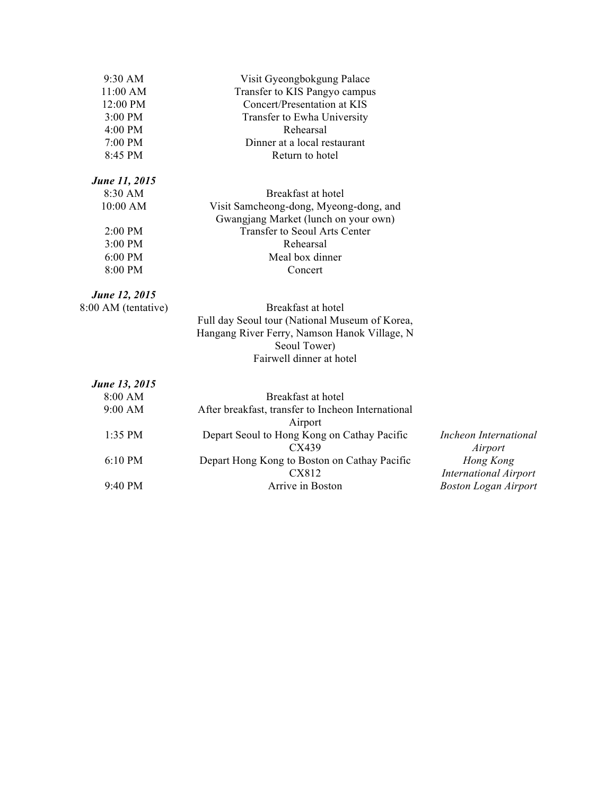| 9:30 AM              | Visit Gyeongbokgung Palace                                                               |  |  |  |
|----------------------|------------------------------------------------------------------------------------------|--|--|--|
| 11:00 AM             | Transfer to KIS Pangyo campus                                                            |  |  |  |
| 12:00 PM             | Concert/Presentation at KIS                                                              |  |  |  |
| 3:00 PM              | Transfer to Ewha University                                                              |  |  |  |
| 4:00 PM              | Rehearsal                                                                                |  |  |  |
| 7:00 PM              | Dinner at a local restaurant                                                             |  |  |  |
| 8:45 PM              | Return to hotel                                                                          |  |  |  |
| <b>June 11, 2015</b> |                                                                                          |  |  |  |
| 8:30 AM              | Breakfast at hotel                                                                       |  |  |  |
| 10:00 AM             | Visit Samcheong-dong, Myeong-dong, and                                                   |  |  |  |
|                      | Gwangjang Market (lunch on your own)                                                     |  |  |  |
| $2:00$ PM            | <b>Transfer to Seoul Arts Center</b>                                                     |  |  |  |
| 3:00 PM              | Rehearsal                                                                                |  |  |  |
| 6:00 PM              | Meal box dinner                                                                          |  |  |  |
| 8:00 PM              | Concert                                                                                  |  |  |  |
| <b>June 12, 2015</b> |                                                                                          |  |  |  |
| 8:00 AM (tentative)  | Breakfast at hotel                                                                       |  |  |  |
|                      | Full day Seoul tour (National Museum of Korea,                                           |  |  |  |
|                      | Hangang River Ferry, Namson Hanok Village, N                                             |  |  |  |
|                      | Seoul Tower)                                                                             |  |  |  |
|                      | Fairwell dinner at hotel                                                                 |  |  |  |
| June 13, 2015        |                                                                                          |  |  |  |
| 8:00 AM              | Breakfast at hotel                                                                       |  |  |  |
| 9:00 AM              | After breakfast, transfer to Incheon International                                       |  |  |  |
|                      | Airport                                                                                  |  |  |  |
| 1:35 PM              | Depart Seoul to Hong Kong on Cathay Pacific<br>Incheon International<br>CX439<br>Airport |  |  |  |
| 6:10 PM              | Depart Hong Kong to Boston on Cathay Pacific<br>Hong Kong<br>CX812                       |  |  |  |
| 9:40 PM              | <b>International Airport</b><br>Arrive in Boston<br><b>Boston Logan Airport</b>          |  |  |  |
|                      |                                                                                          |  |  |  |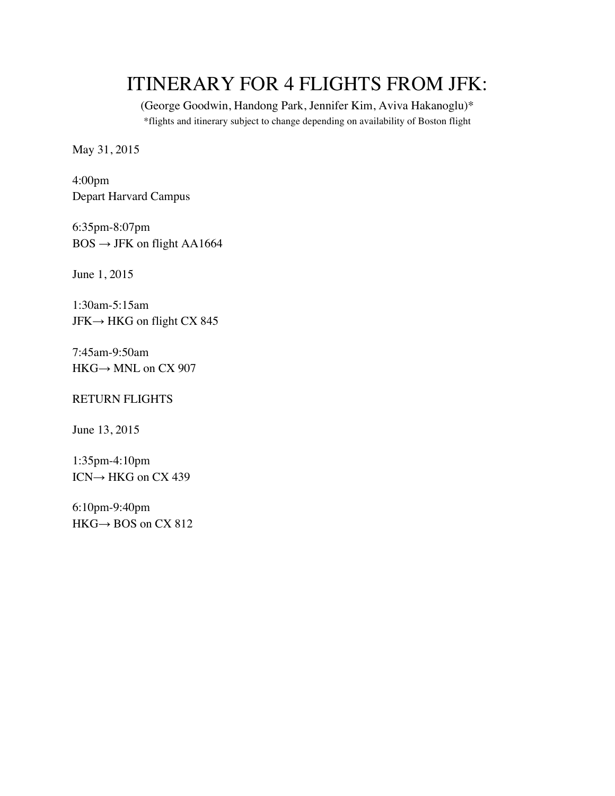## ITINERARY FOR 4 FLIGHTS FROM JFK:

(George Goodwin, Handong Park, Jennifer Kim, Aviva Hakanoglu)\* \*flights and itinerary subject to change depending on availability of Boston flight

May 31, 2015

4:00pm Depart Harvard Campus

6:35pm-8:07pm  $BOS \rightarrow$  JFK on flight AA1664

June 1, 2015

1:30am-5:15am  $JFK \rightarrow HKG$  on flight CX 845

7:45am-9:50am HKG→ MNL on CX 907

#### RETURN FLIGHTS

June 13, 2015

1:35pm-4:10pm ICN→ HKG on CX 439

6:10pm-9:40pm  $HKG \rightarrow BOS$  on CX 812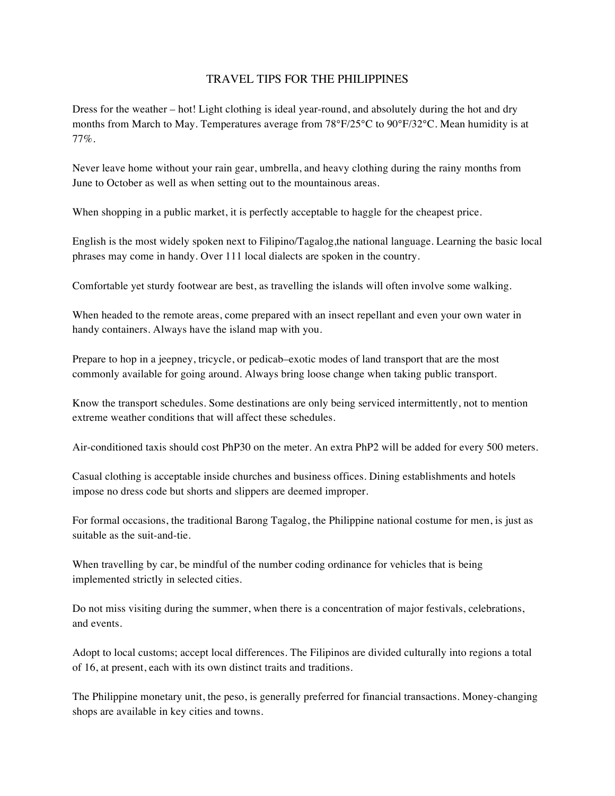#### TRAVEL TIPS FOR THE PHILIPPINES

Dress for the weather – hot! Light clothing is ideal year-round, and absolutely during the hot and dry months from March to May. Temperatures average from 78°F/25°C to 90°F/32°C. Mean humidity is at 77%.

Never leave home without your rain gear, umbrella, and heavy clothing during the rainy months from June to October as well as when setting out to the mountainous areas.

When shopping in a public market, it is perfectly acceptable to haggle for the cheapest price.

English is the most widely spoken next to Filipino/Tagalog,the national language. Learning the basic local phrases may come in handy. Over 111 local dialects are spoken in the country.

Comfortable yet sturdy footwear are best, as travelling the islands will often involve some walking.

When headed to the remote areas, come prepared with an insect repellant and even your own water in handy containers. Always have the island map with you.

Prepare to hop in a jeepney, tricycle, or pedicab–exotic modes of land transport that are the most commonly available for going around. Always bring loose change when taking public transport.

Know the transport schedules. Some destinations are only being serviced intermittently, not to mention extreme weather conditions that will affect these schedules.

Air-conditioned taxis should cost PhP30 on the meter. An extra PhP2 will be added for every 500 meters.

Casual clothing is acceptable inside churches and business offices. Dining establishments and hotels impose no dress code but shorts and slippers are deemed improper.

For formal occasions, the traditional Barong Tagalog, the Philippine national costume for men, is just as suitable as the suit-and-tie.

When travelling by car, be mindful of the number coding ordinance for vehicles that is being implemented strictly in selected cities.

Do not miss visiting during the summer, when there is a concentration of major festivals, celebrations, and events.

Adopt to local customs; accept local differences. The Filipinos are divided culturally into regions a total of 16, at present, each with its own distinct traits and traditions.

The Philippine monetary unit, the peso, is generally preferred for financial transactions. Money-changing shops are available in key cities and towns.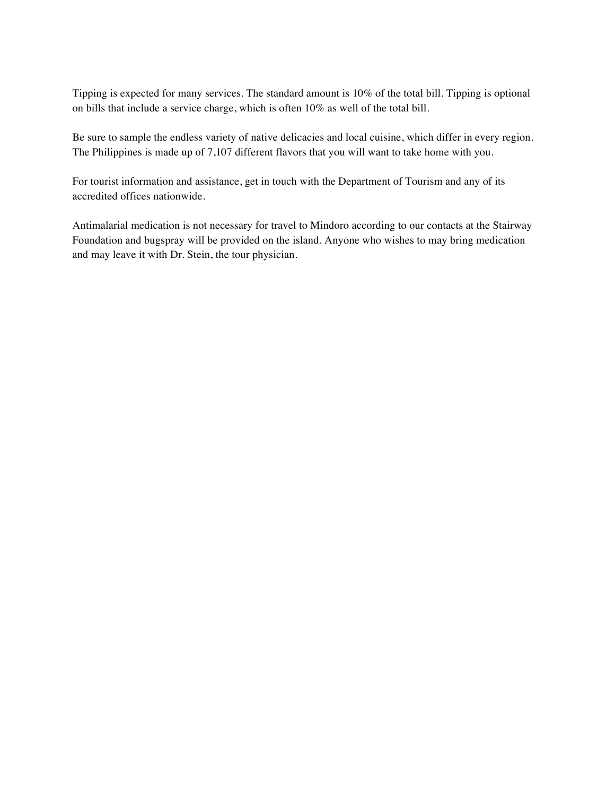Tipping is expected for many services. The standard amount is 10% of the total bill. Tipping is optional on bills that include a service charge, which is often 10% as well of the total bill.

Be sure to sample the endless variety of native delicacies and local cuisine, which differ in every region. The Philippines is made up of 7,107 different flavors that you will want to take home with you.

For tourist information and assistance, get in touch with the Department of Tourism and any of its accredited offices nationwide.

Antimalarial medication is not necessary for travel to Mindoro according to our contacts at the Stairway Foundation and bugspray will be provided on the island. Anyone who wishes to may bring medication and may leave it with Dr. Stein, the tour physician.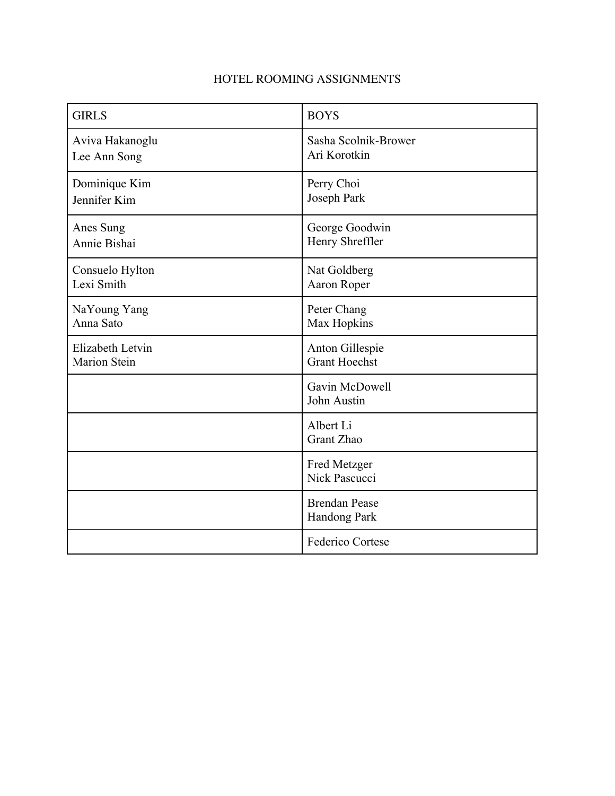#### HOTEL ROOMING ASSIGNMENTS

| <b>GIRLS</b>        | <b>BOYS</b>                          |  |
|---------------------|--------------------------------------|--|
| Aviva Hakanoglu     | Sasha Scolnik-Brower                 |  |
| Lee Ann Song        | Ari Korotkin                         |  |
| Dominique Kim       | Perry Choi                           |  |
| Jennifer Kim        | Joseph Park                          |  |
| Anes Sung           | George Goodwin                       |  |
| Annie Bishai        | Henry Shreffler                      |  |
| Consuelo Hylton     | Nat Goldberg                         |  |
| Lexi Smith          | Aaron Roper                          |  |
| NaYoung Yang        | Peter Chang                          |  |
| Anna Sato           | Max Hopkins                          |  |
| Elizabeth Letvin    | Anton Gillespie                      |  |
| <b>Marion Stein</b> | <b>Grant Hoechst</b>                 |  |
|                     | Gavin McDowell<br>John Austin        |  |
|                     | Albert Li<br>Grant Zhao              |  |
|                     | Fred Metzger<br>Nick Pascucci        |  |
|                     | <b>Brendan Pease</b><br>Handong Park |  |
|                     | Federico Cortese                     |  |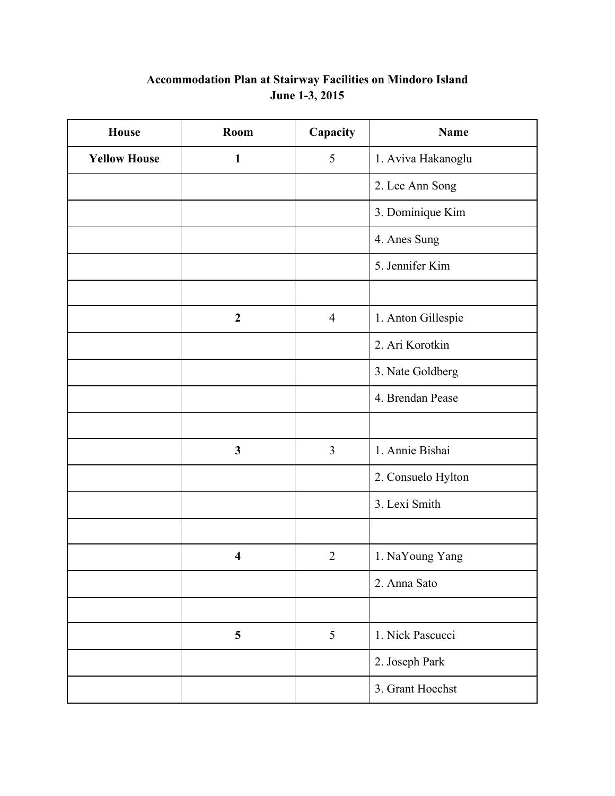#### **Accommodation Plan at Stairway Facilities on Mindoro Island June 1-3, 2015**

| <b>House</b>        | Room                    | Capacity       | Name               |
|---------------------|-------------------------|----------------|--------------------|
| <b>Yellow House</b> | $\mathbf{1}$            | 5              | 1. Aviva Hakanoglu |
|                     |                         |                | 2. Lee Ann Song    |
|                     |                         |                | 3. Dominique Kim   |
|                     |                         |                | 4. Anes Sung       |
|                     |                         |                | 5. Jennifer Kim    |
|                     |                         |                |                    |
|                     | $\boldsymbol{2}$        | $\overline{4}$ | 1. Anton Gillespie |
|                     |                         |                | 2. Ari Korotkin    |
|                     |                         |                | 3. Nate Goldberg   |
|                     |                         |                | 4. Brendan Pease   |
|                     |                         |                |                    |
|                     | $\mathbf{3}$            | $\overline{3}$ | 1. Annie Bishai    |
|                     |                         |                | 2. Consuelo Hylton |
|                     |                         |                | 3. Lexi Smith      |
|                     |                         |                |                    |
|                     | $\overline{\mathbf{4}}$ | $\overline{2}$ | 1. NaYoung Yang    |
|                     |                         |                | 2. Anna Sato       |
|                     |                         |                |                    |
|                     | 5                       | 5              | 1. Nick Pascucci   |
|                     |                         |                | 2. Joseph Park     |
|                     |                         |                | 3. Grant Hoechst   |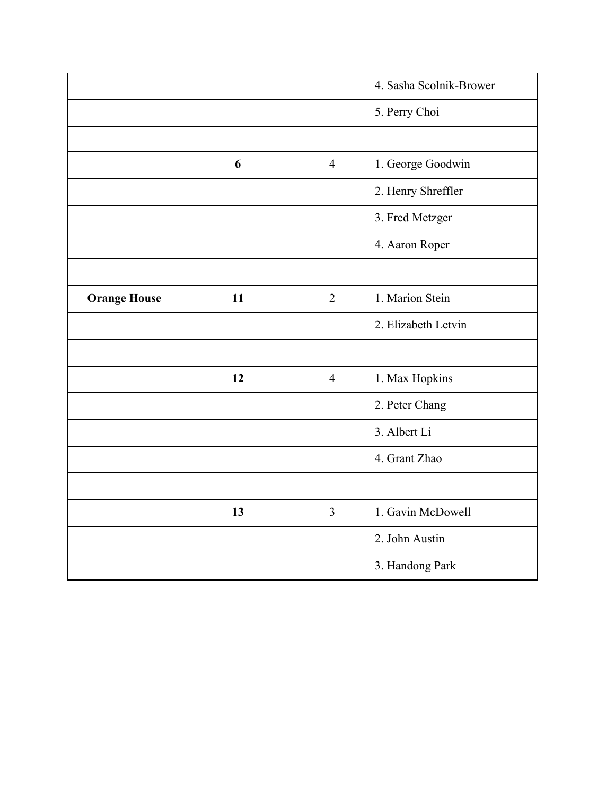|                     |    |                | 4. Sasha Scolnik-Brower |
|---------------------|----|----------------|-------------------------|
|                     |    |                | 5. Perry Choi           |
|                     |    |                |                         |
|                     | 6  | $\overline{4}$ | 1. George Goodwin       |
|                     |    |                | 2. Henry Shreffler      |
|                     |    |                | 3. Fred Metzger         |
|                     |    |                | 4. Aaron Roper          |
|                     |    |                |                         |
| <b>Orange House</b> | 11 | $\overline{2}$ | 1. Marion Stein         |
|                     |    |                | 2. Elizabeth Letvin     |
|                     |    |                |                         |
|                     | 12 | $\overline{4}$ | 1. Max Hopkins          |
|                     |    |                | 2. Peter Chang          |
|                     |    |                | 3. Albert Li            |
|                     |    |                | 4. Grant Zhao           |
|                     |    |                |                         |
|                     | 13 | $\overline{3}$ | 1. Gavin McDowell       |
|                     |    |                | 2. John Austin          |
|                     |    |                | 3. Handong Park         |